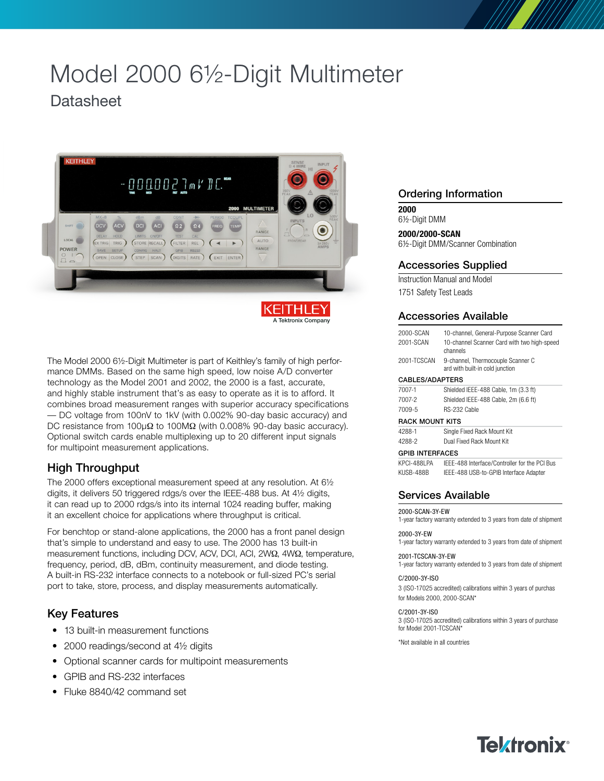# Model 2000 6½-Digit Multimeter

# **Datasheet**



The Model 2000 6½-Digit Multimeter is part of Keithley's family of high performance DMMs. Based on the same high speed, low noise A/D converter technology as the Model 2001 and 2002, the 2000 is a fast, accurate, and highly stable instrument that's as easy to operate as it is to afford. It combines broad measurement ranges with superior accuracy specifications — DC voltage from 100nV to 1kV (with 0.002% 90-day basic accuracy) and DC resistance from 100 $\mu\Omega$  to 100M $\Omega$  (with 0.008% 90-day basic accuracy). Optional switch cards enable multiplexing up to 20 different input signals for multipoint measurement applications.

# High Throughput

The 2000 offers exceptional measurement speed at any resolution. At 6½ digits, it delivers 50 triggered rdgs/s over the IEEE-488 bus. At 4½ digits, it can read up to 2000 rdgs/s into its internal 1024 reading buffer, making it an excellent choice for applications where throughput is critical.

For benchtop or stand-alone applications, the 2000 has a front panel design that's simple to understand and easy to use. The 2000 has 13 built-in measurement functions, including DCV, ACV, DCI, ACI, 2WΩ, 4WΩ, temperature, frequency, period, dB, dBm, continuity measurement, and diode testing. A built-in RS-232 interface connects to a notebook or full-sized PC's serial port to take, store, process, and display measurements automatically.

# Key Features

- 13 built-in measurement functions
- 2000 readings/second at 41/2 digits
- Optional scanner cards for multipoint measurements
- GPIB and RS-232 interfaces
- Fluke 8840/42 command set

# Ordering Information

**2000** 6½-Digit DMM

**2000/2000-SCAN** 6½-Digit DMM/Scanner Combination

# Accessories Supplied

Instruction Manual and Model 1751 Safety Test Leads

# Accessories Available

| 2000-SCAN<br>2001-SCAN | 10-channel, General-Purpose Scanner Card<br>10-channel Scanner Card with two high-speed<br>channels |
|------------------------|-----------------------------------------------------------------------------------------------------|
| 2001-TCSCAN            | 9-channel, Thermocouple Scanner C<br>ard with built-in cold junction                                |
| CABLES/ADAPTERS        |                                                                                                     |
| 7007-1                 | Shielded IEEE-488 Cable, 1m (3.3 ft)                                                                |
| 7007-2                 | Shielded IEEE-488 Cable, 2m (6.6 ft)                                                                |
| 7009-5                 | RS-232 Cable                                                                                        |
| <b>RACK MOUNT KITS</b> |                                                                                                     |
| 4288-1                 | Single Fixed Rack Mount Kit                                                                         |
| 4288-2                 | Dual Fixed Rack Mount Kit                                                                           |
| <b>GPIB INTERFACES</b> |                                                                                                     |
| <b>KPCI-488I PA</b>    | IFFF-488 Interface/Controller for the PCI Bus                                                       |
| KUSB-488B              | IEEE-488 USB-to-GPIB Interface Adapter                                                              |

# Services Available

2000-SCAN-3Y-EW

1-year factory warranty extended to 3 years from date of shipment

2000-3Y-EW 1-year factory warranty extended to 3 years from date of shipment

2001-TCSCAN-3Y-EW 1-year factory warranty extended to 3 years from date of shipment

#### C/2000-3Y-ISO

3 (ISO-17025 accredited) calibrations within 3 years of purchas for Models 2000, 2000-SCAN\*

#### C/2001-3Y-ISO

3 (ISO-17025 accredited) calibrations within 3 years of purchase for Model 2001-TCSCAN\*

\*Not available in all countries

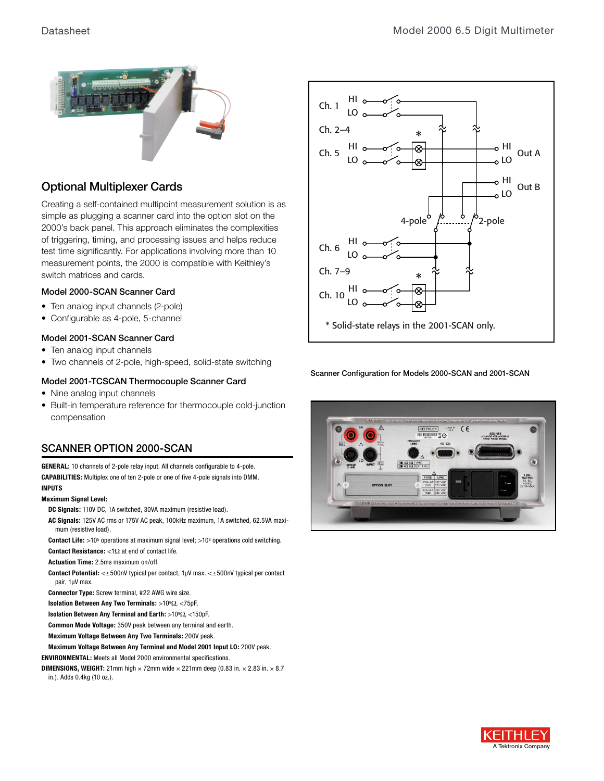

# Optional Multiplexer Cards

Creating a self-contained multipoint measurement solution is as simple as plugging a scanner card into the option slot on the 2000's back panel. This approach eliminates the complexities of triggering, timing, and processing issues and helps reduce test time significantly. For applications involving more than 10 measurement points, the 2000 is compatible with Keithley's switch matrices and cards.

## Model 2000-SCAN Scanner Card

- Ten analog input channels (2-pole)
- Configurable as 4-pole, 5-channel

## Model 2001-SCAN Scanner Card

- Ten analog input channels
- Two channels of 2-pole, high-speed, solid-state switching

## Model 2001-TCSCAN Thermocouple Scanner Card

- Nine analog input channels
- Built-in temperature reference for thermocouple cold-junction compensation

# SCANNER OPTION 2000-SCAN

**GENERAL:** 10 channels of 2-pole relay input. All channels configurable to 4-pole. **CAPABILITIES:** Multiplex one of ten 2-pole or one of five 4-pole signals into DMM. **INPUTS**

#### **Maximum Signal Level:**

- **DC Signals:** 110V DC, 1A switched, 30VA maximum (resistive load).
- **AC Signals:** 125V AC rms or 175V AC peak, 100kHz maximum, 1A switched, 62.5VA maximum (resistive load).

**Contact Life:** >10<sup>5</sup> operations at maximum signal level; >10<sup>8</sup> operations cold switching. **Contact Resistance:**  $<1\Omega$  at end of contact life.

**Actuation Time:** 2.5ms maximum on/off.

**Contact Potential:** <±500nV typical per contact, 1µV max. <±500nV typical per contact pair, 1µV max.

**Connector Type:** Screw terminal, #22 AWG wire size.

**Isolation Between Any Two Terminals: >109** $\Omega$ **, <75pF.** 

**Isolation Between Any Terminal and Earth: >109** $\Omega$ **, <150pF.** 

**Common Mode Voltage:** 350V peak between any terminal and earth.

**Maximum Voltage Between Any Two Terminals:** 200V peak.

**Maximum Voltage Between Any Terminal and Model 2001 Input LO:** 200V peak.

**ENVIRONMENTAL:** Meets all Model 2000 environmental specifications.

**DIMENSIONS, WEIGHT:** 21mm high  $\times$  72mm wide  $\times$  221mm deep (0.83 in.  $\times$  2.83 in.  $\times$  8.7

in.). Adds 0.4kg (10 oz.).



Scanner Configuration for Models 2000-SCAN and 2001-SCAN



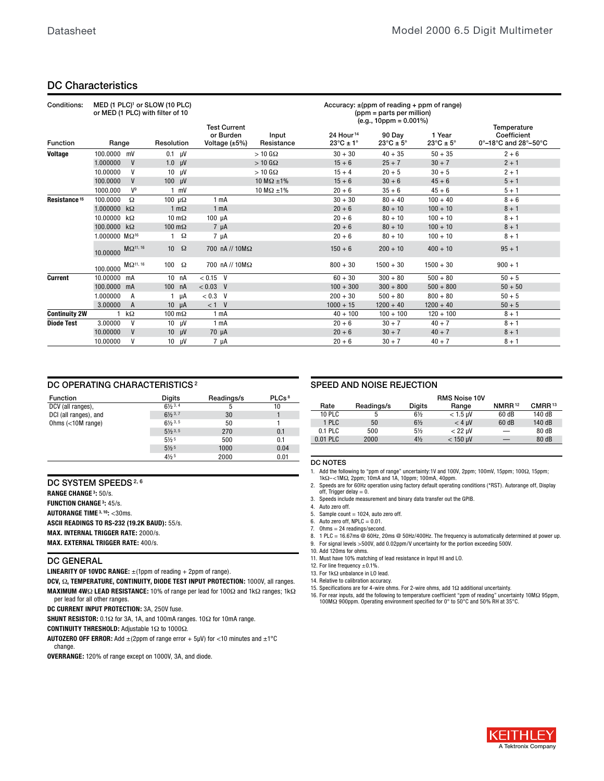## DC Characteristics

| Conditions:              | MED (1 PLC) <sup>1</sup> or SLOW (10 PLC)<br>or MED (1 PLC) with filter of 10 |                             |                       |                     | <b>Test Current</b>              |                     |                                                        | $(ppm = parts per million)$<br>$(e.g., 10 ppm = 0.001%)$ | Accuracy: $\pm$ (ppm of reading + ppm of range) | Temperature                                                       |
|--------------------------|-------------------------------------------------------------------------------|-----------------------------|-----------------------|---------------------|----------------------------------|---------------------|--------------------------------------------------------|----------------------------------------------------------|-------------------------------------------------|-------------------------------------------------------------------|
| <b>Function</b>          | Range                                                                         |                             | Resolution            |                     | or Burden<br>Voltage $(\pm 5\%)$ | Input<br>Resistance | 24 Hour <sup>14</sup><br>$23^{\circ}$ C ± 1 $^{\circ}$ | 90 Day<br>$23^{\circ}$ C ± 5°                            | 1 Year<br>$23^{\circ}$ C ± 5°                   | Coefficient<br>$0^\circ - 18^\circ$ C and $28^\circ - 50^\circ$ C |
| <b>Voltage</b>           | 100.0000                                                                      | mV                          | $0.1$ $\mu$ V         |                     |                                  | $>10$ G $\Omega$    | $30 + 30$                                              | $40 + 35$                                                | $50 + 35$                                       | $2 + 6$                                                           |
|                          | 1.000000                                                                      | V                           | $1.0 \quad \mu V$     |                     |                                  | $> 10$ G $\Omega$   | $15 + 6$                                               | $25 + 7$                                                 | $30 + 7$                                        | $2 + 1$                                                           |
|                          | 10.00000                                                                      | v                           | $10 \text{ }$ $\mu$ V |                     |                                  | $>10$ G $\Omega$    | $15 + 4$                                               | $20 + 5$                                                 | $30 + 5$                                        | $2 + 1$                                                           |
|                          | 100.0000                                                                      | V                           | $100 \quad \text{µV}$ |                     |                                  | 10 M $\Omega$ ±1%   | $15 + 6$                                               | $30 + 6$                                                 | $45 + 6$                                        | $5 + 1$                                                           |
|                          | 1000.000                                                                      | $V^9$                       |                       | $1 \text{ mV}$      |                                  | 10 M $\Omega$ ±1%   | $20 + 6$                                               | $35 + 6$                                                 | $45 + 6$                                        | $5 + 1$                                                           |
| Resistance <sup>15</sup> | 100.0000                                                                      | Ω                           | 100 $\mu\Omega$       |                     | 1 <sub>m</sub> A                 |                     | $30 + 30$                                              | $80 + 40$                                                | $100 + 40$                                      | $8 + 6$                                                           |
|                          | 1.000000                                                                      | $k\Omega$                   |                       | $1 \text{ m}\Omega$ | 1 <sub>mA</sub>                  |                     | $20 + 6$                                               | $80 + 10$                                                | $100 + 10$                                      | $8 + 1$                                                           |
|                          | 10.00000                                                                      | $k\Omega$                   | $10 \text{ m}\Omega$  |                     | $100 \mu A$                      |                     | $20 + 6$                                               | $80 + 10$                                                | $100 + 10$                                      | $8 + 1$                                                           |
|                          | 100.0000                                                                      | $k\Omega$                   | 100 $m\Omega$         |                     | $7 \mu A$                        |                     | $20 + 6$                                               | $80 + 10$                                                | $100 + 10$                                      | $8 + 1$                                                           |
|                          | 1.000000 MΩ <sup>16</sup>                                                     |                             | 1.                    | $\Omega$            | 7 µA                             |                     | $20 + 6$                                               | $80 + 10$                                                | $100 + 10$                                      | $8 + 1$                                                           |
|                          | 10.00000                                                                      | $M\Omega$ <sup>11, 16</sup> | $10-10$               | $\Omega$            | 700 nA // 10ΜΩ                   |                     | $150 + 6$                                              | $200 + 10$                                               | $400 + 10$                                      | $95 + 1$                                                          |
|                          | 100.0000                                                                      | $M\Omega^{11, 16}$          | 100                   | $\Omega$            | 700 nA // 10ΜΩ                   |                     | $800 + 30$                                             | $1500 + 30$                                              | $1500 + 30$                                     | $900 + 1$                                                         |
| <b>Current</b>           | 10.00000                                                                      | mA                          | 10 <sub>nA</sub>      |                     | $< 0.15$ V                       |                     | $60 + 30$                                              | $300 + 80$                                               | $500 + 80$                                      | $50 + 5$                                                          |
|                          | 100.0000 mA                                                                   |                             | 100 nA                |                     | $< 0.03$ V                       |                     | $100 + 300$                                            | $300 + 800$                                              | $500 + 800$                                     | $50 + 50$                                                         |
|                          | 1.000000                                                                      | A                           |                       | μA                  | $< 0.3$ V                        |                     | $200 + 30$                                             | $500 + 80$                                               | $800 + 80$                                      | $50 + 5$                                                          |
|                          | 3.00000                                                                       | $\overline{A}$              | $10 \mu A$            |                     | $< 1$ V                          |                     | $1000 + 15$                                            | $1200 + 40$                                              | $1200 + 40$                                     | $50 + 5$                                                          |
| <b>Continuity 2W</b>     |                                                                               | $k\Omega$                   | 100 $m\Omega$         |                     | 1 <sub>mA</sub>                  |                     | $40 + 100$                                             | $100 + 100$                                              | $120 + 100$                                     | $8 + 1$                                                           |
| <b>Diode Test</b>        | 3.00000                                                                       | v                           |                       | $10 \mu V$          | 1 <sub>m</sub> A                 |                     | $20 + 6$                                               | $30 + 7$                                                 | $40 + 7$                                        | $8 + 1$                                                           |
|                          | 10.00000                                                                      | V                           | 10 <sup>10</sup>      | μV                  | $70 \mu A$                       |                     | $20 + 6$                                               | $30 + 7$                                                 | $40 + 7$                                        | $8 + 1$                                                           |
|                          | 10.00000                                                                      | v                           | $10-10$               | μV                  | $7 \mu A$                        |                     | $20 + 6$                                               | $30 + 7$                                                 | $40 + 7$                                        | $8 + 1$                                                           |

#### DC OPERATING CHARACTERISTICS<sup>2</sup>

| <b>Function</b>       | <b>Digits</b>               | Readings/s | PLCs <sup>8</sup> |
|-----------------------|-----------------------------|------------|-------------------|
| DCV (all ranges),     | $6\frac{1}{2}$ 3, 4         | 5          | 10                |
| DCI (all ranges), and | $6\frac{1}{2}$ 3, 7         | 30         |                   |
| Ohms $(<10M$ range)   | $6\frac{1}{2}$ 3, 5         | 50         |                   |
|                       | $5\frac{1}{2}$ 3, 5         | 270        | 0.1               |
|                       | $5\frac{1}{2}$ <sup>5</sup> | 500        | 0.1               |
|                       | $5\frac{1}{2}$ <sup>5</sup> | 1000       | 0.04              |
|                       | $4\frac{1}{2}$ <sup>5</sup> | 2000       | 0.01              |

#### DC SYSTEM SPEEDS<sup>2,6</sup>

**RANGE CHANGE 3:** 50/s.

**FUNCTION CHANGE 3: 45/s.** 

**AUTORANGE TIME 3, 10: < 30ms.** 

**ASCII READINGS TO RS-232 (19.2K BAUD):** 55/s.

**MAX. INTERNAL TRIGGER RATE:** 2000/s.

**MAX. EXTERNAL TRIGGER RATE:** 400/s.

#### DC GENERAL

**LINEARITY OF 10VDC RANGE:** ±(1ppm of reading + 2ppm of range).

**DCV,**  $\Omega$ **, TEMPERATURE, CONTINUITY, DIODE TEST INPUT PROTECTION: 1000V, all ranges. MAXIMUM 4W** $\Omega$  **LEAD RESISTANCE:** 10% of range per lead for 100 $\Omega$  and 1k $\Omega$  ranges; 1k $\Omega$ per lead for all other ranges.

**DC CURRENT INPUT PROTECTION:** 3A, 250V fuse.

SHUNT RESISTOR: 0.1 $\Omega$  for 3A, 1A, and 100mA ranges. 10 $\Omega$  for 10mA range.

CONTINUITY THRESHOLD: Adjustable 1<sup>2</sup> to 1000<sup>2</sup>.

**AUTOZERO OFF ERROR:** Add ±(2ppm of range error + 5µV) for <10 minutes and ±1°C change.

**OVERRANGE:** 120% of range except on 1000V, 3A, and diode.

#### SPEED AND NOISE REJECTION

|               |            |                | <b>RMS Noise 10V</b> |                    |                    |
|---------------|------------|----------------|----------------------|--------------------|--------------------|
| Rate          | Readings/s | <b>Digits</b>  | Range                | NMRR <sup>12</sup> | CMRR <sup>13</sup> |
| <b>10 PLC</b> |            | $6\frac{1}{2}$ | $<$ 1.5 µV           | 60 dB              | 140 dB             |
| 1 PLC         | 50         | $6\frac{1}{2}$ | $< 4$ uV             | 60 dB              | 140 dB             |
| $0.1$ PLC     | 500        | $5\frac{1}{2}$ | $<$ 22 $\mu$ V       | —                  | 80 dB              |
| 0.01 PLC      | 2000       | $4\frac{1}{2}$ | $<$ 150 µV           |                    | 80 dB              |

#### DC NOTES

1. Add the following to "ppm of range" uncertainty:1V and 100V, 2ppm; 100mV, 15ppm; 100Ω, 15ppm;<br>1kΩ–<1MΩ, 2ppm; 10mA and 1A, 10ppm; 100mA, 40ppm.

- 2. Speeds are for 60Hz operation using factory default operating conditions (\*RST). Autorange off, Display  $off, Trigger$  delay  $= 0$ .
- 3. Speeds include measurement and binary data transfer out the GPIB.
- 4. Auto zero off.
- 5. Sample count  $= 1024$ , auto zero off.
- 6. Auto zero off,  $NPLC = 0.01$ .
- 7. Ohms = 24 readings/second.<br>8.  $1$  PLC = 16.67ms @ 60Hz. 2
- 8. 1 PLC = 16.67ms @ 60Hz, 20ms @ 50Hz/400Hz. The frequency is automatically determined at power up.<br>9. For signal levels >500V, add 0.02ppm/V uncertainty for the portion exceeding 500V.
- 9. For signal levels >500V, add 0.02ppm/V uncertainty for the portion exceeding 500V. 10. Add 120ms for ohms.
- 11. Must have 10% matching of lead resistance in Input HI and LO.
- 12. For line frequency ±0.1%.
- 13. For  $1k\Omega$  unbalance in LO lead.
- 14. Relative to calibration accuracy.
- 15. Specifications are for 4-wire ohms. For 2-wire ohms, add  $1\Omega$  additional uncertainty.
- 16. For rear inputs, add the following to temperature coefficient "ppm of reading" uncertainty 10MΩ 95ppm, 100MΩ 95ppm, 100MΩ 95ppm, 100MΩ 95ppm,

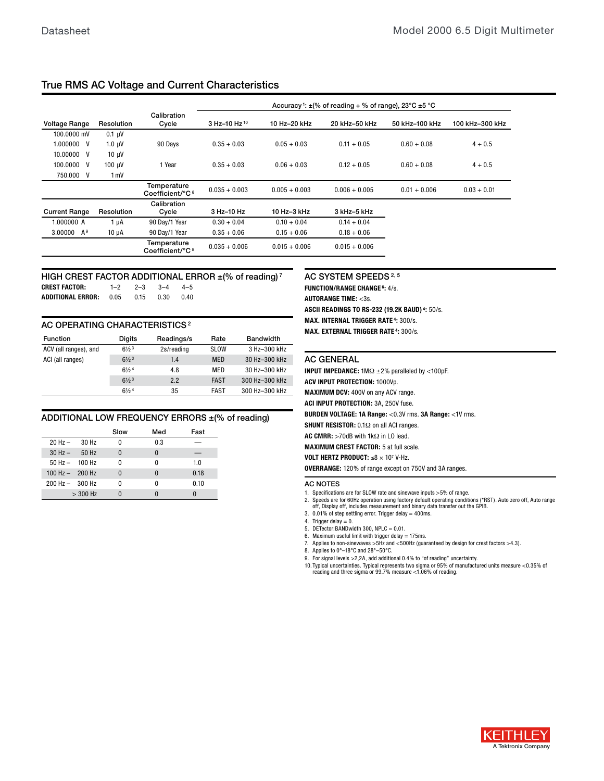# True RMS AC Voltage and Current Characteristics

|                      |             |                                            |                          |                 | Accuracy <sup>1</sup> : $\pm$ (% of reading + % of range), 23°C $\pm$ 5 °C |                |                 |
|----------------------|-------------|--------------------------------------------|--------------------------|-----------------|----------------------------------------------------------------------------|----------------|-----------------|
| <b>Voltage Range</b> | Resolution  | Calibration<br>Cycle                       | 3 Hz-10 Hz <sup>10</sup> | 10 Hz-20 kHz    | 20 kHz-50 kHz                                                              | 50 kHz-100 kHz | 100 kHz-300 kHz |
| 100.0000 mV          | $0.1 \mu V$ |                                            |                          |                 |                                                                            |                |                 |
| 1.000000<br>V        | $1.0 \mu V$ | 90 Days                                    | $0.35 + 0.03$            | $0.05 + 0.03$   | $0.11 + 0.05$                                                              | $0.60 + 0.08$  | $4 + 0.5$       |
| 10.00000<br>V        | $10 \mu V$  |                                            |                          |                 |                                                                            |                |                 |
| 100.0000<br>V        | 100 uV      | 1 Year                                     | $0.35 + 0.03$            | $0.06 + 0.03$   | $0.12 + 0.05$                                                              | $0.60 + 0.08$  | $4 + 0.5$       |
| 750.000<br>V         | 1 mV        |                                            |                          |                 |                                                                            |                |                 |
|                      |             | Temperature<br>Coefficient/°C <sup>8</sup> | $0.035 + 0.003$          | $0.005 + 0.003$ | $0.006 + 0.005$                                                            | $0.01 + 0.006$ | $0.03 + 0.01$   |
|                      |             | Calibration                                |                          |                 |                                                                            |                |                 |
| <b>Current Range</b> | Resolution  | Cycle                                      | 3 Hz-10 Hz               | 10 Hz-3 kHz     | 3 kHz-5 kHz                                                                |                |                 |
| 1.000000 A           | $1 \mu A$   | 90 Dav/1 Year                              | $0.30 + 0.04$            | $0.10 + 0.04$   | $0.14 + 0.04$                                                              |                |                 |
| 3.00000 $A^9$        | $10 \mu A$  | 90 Day/1 Year                              | $0.35 + 0.06$            | $0.15 + 0.06$   | $0.18 + 0.06$                                                              |                |                 |
|                      |             | Temperature<br>Coefficient/°C <sup>8</sup> | $0.035 + 0.006$          | $0.015 + 0.006$ | $0.015 + 0.006$                                                            |                |                 |

## HIGH CREST FACTOR ADDITIONAL ERROR ±(% of reading)<sup>7</sup>

**CREST FACTOR:** 1–2 2–3 3–4 4–5 **ADDITIONAL ERROR:** 0.05 0.15 0.30 0.40

AC OPERATING CHARACTERISTICS<sup>2</sup>

| <b>Function</b>       | <b>Digits</b>               | Readings/s | Rate        | <b>Bandwidth</b> |
|-----------------------|-----------------------------|------------|-------------|------------------|
| ACV (all ranges), and | $6\frac{1}{2}$ <sup>3</sup> | 2s/reading | <b>SLOW</b> | 3 Hz-300 kHz     |
| ACI (all ranges)      | $6\frac{1}{2}$ <sup>3</sup> | 1.4        | <b>MED</b>  | 30 Hz-300 kHz    |
|                       | $6\frac{1}{2}$ <sup>4</sup> | 4.8        | MED         | 30 Hz-300 kHz    |
|                       | $6\frac{1}{2}$ <sup>3</sup> | 2.2        | <b>FAST</b> | 300 Hz-300 kHz   |
|                       | $6\frac{1}{2}$ <sup>4</sup> | 35         | <b>FAST</b> | 300 Hz-300 kHz   |

#### ADDITIONAL LOW FREQUENCY ERRORS ±(% of reading)

|                                   |            | Slow | Med      | Fast |
|-----------------------------------|------------|------|----------|------|
| $20$ Hz $-$                       | 30 Hz      |      | 0.3      |      |
| $30 Hz -$                         | 50 Hz      |      | $\Omega$ |      |
| $50 \text{ Hz} - 100 \text{ Hz}$  |            | n    | N        | 1.0  |
| 100 Hz $-$ 200 Hz                 |            |      | $\Omega$ | 0.18 |
| $200 \text{ Hz} - 300 \text{ Hz}$ |            | n    | N        | 0.10 |
|                                   | $>$ 300 Hz |      |          | Ω    |

# AC SYSTEM SPEEDS<sup>2, 5</sup>

**FUNCTION/RANGE CHANGE 6:** 4/s. **AUTORANGE TIME:** <3s. **ASCII READINGS TO RS-232 (19.2K BAUD) 4:** 50/s. **MAX. INTERNAL TRIGGER RATE 4:** 300/s. **MAX. EXTERNAL TRIGGER RATE 4:** 300/s.

#### AC GENERAL

**INPUT IMPEDANCE:**  $1 \text{M}\Omega \pm 2\%$  paralleled by <100pF. **ACV INPUT PROTECTION:** 1000Vp. **MAXIMUM DCV:** 400V on any ACV range. **ACI INPUT PROTECTION:** 3A, 250V fuse. **BURDEN VOLTAGE: 1A Range:** <0.3V rms. **3A Range:** <1V rms. SHUNT RESISTOR: 0.1 $\Omega$  on all ACI ranges. **AC CMRR:**  $>70$ dB with  $1$ k $\Omega$  in LO lead. **MAXIMUM CREST FACTOR:** 5 at full scale. **VOLT HERTZ PRODUCT:** ≤8 × 107 V·Hz. **OVERRANGE:** 120% of range except on 750V and 3A ranges. AC NOTES

1. Specifications are for SLOW rate and sinewave inputs >5% of range.

2. Speeds are for 60Hz operation using factory default operating conditions (\*RST). Auto zero off, Auto range

off, Display off, includes measurement and binary data transfer out the GPIB.

3. 0.01% of step settling error. Trigger delay = 400ms. 4. Trigger delay  $= 0$ .

5. DETector:BANDwidth 300, NPLC =  $0.01$ .

6. Maximum useful limit with trigger delay  $= 175$ ms.

7. Applies to non-sinewaves >5Hz and <500Hz (guaranteed by design for crest factors >4.3).

8. Applies to 0°–18°C and 28°–50°C.

9. For signal levels >2,2A, add additional 0.4% to "of reading" uncertainty.

10. Typical uncertainties. Typical represents two sigma or 95% of manufactured units measure <0.35% of reading and three sigma or 99.7% measure <1.06% of reading.

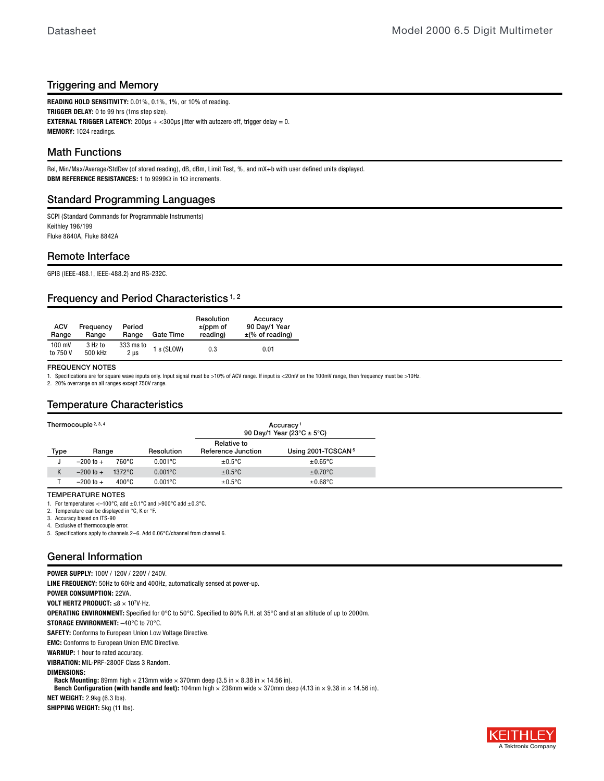# Triggering and Memory

**READING HOLD SENSITIVITY:** 0.01%, 0.1%, 1%, or 10% of reading. **TRIGGER DELAY:** 0 to 99 hrs (1ms step size). **EXTERNAL TRIGGER LATENCY:**  $200\mu s$  +  $<$ 300 $\mu s$  jitter with autozero off, trigger delay = 0. **MEMORY:** 1024 readings.

# Math Functions

Rel, Min/Max/Average/StdDev (of stored reading), dB, dBm, Limit Test, %, and mX+b with user defined units displayed. **DBM REFERENCE RESISTANCES:** 1 to 9999Ω in 1Ω increments.

# Standard Programming Languages

SCPI (Standard Commands for Programmable Instruments) Keithley 196/199 Fluke 8840A, Fluke 8842A

## Remote Interface

GPIB (IEEE-488.1, IEEE-488.2) and RS-232C.

# Frequency and Period Characteristics<sup>1,2</sup>

| <b>ACV</b><br>Range | Frequency<br>Range | Period<br>Range   | <b>Gate Time</b> | Resolution<br>$\pm$ (ppm of<br>reading) | Accuracy<br>90 Day/1 Year<br>$\pm$ (% of reading) |
|---------------------|--------------------|-------------------|------------------|-----------------------------------------|---------------------------------------------------|
| 100 mV<br>to 750 V  | 3 Hz to<br>500 kHz | 333 ms to<br>2 µs | s (SLOW)         | 0.3                                     | 0.01                                              |

#### FREQUENCY NOTES

1. Specifications are for square wave inputs only. Input signal must be >10% of ACV range. If input is <20mV on the 100mV range, then frequency must be >10Hz.

2. 20% overrange on all ranges except 750V range.

# Temperature Characteristics

| Thermocouple 2, 3, 4 |                     |                  |                                          |                                | Accuracy <sup>1</sup><br>90 Day/1 Year (23 $^{\circ}$ C ± 5 $^{\circ}$ C) |
|----------------------|---------------------|------------------|------------------------------------------|--------------------------------|---------------------------------------------------------------------------|
| Type                 | Resolution<br>Range |                  | Relative to<br><b>Reference Junction</b> | Using 2001-TCSCAN <sup>5</sup> |                                                                           |
|                      | $-200$ to $+$       | 760°C            | $0.001^{\circ}$ C                        | $\pm 0.5$ °C                   | $\pm 0.65$ °C                                                             |
|                      | $-200$ to $+$       | $1372^{\circ}$ C | $0.001$ °C                               | $±0.5$ °C                      | $\pm 0.70$ °C                                                             |
|                      | $-200$ to $+$       | $400^{\circ}$ C  | $0.001^{\circ}C$                         | $\pm 0.5$ °C                   | $\pm 0.68$ °C                                                             |

#### TEMPERATURE NOTES

1. For temperatures <-100 $^{\circ}$ C, add  $\pm$ 0.1 $^{\circ}$ C and >900 $^{\circ}$ C add  $\pm$ 0.3 $^{\circ}$ C.

- 2. Temperature can be displayed in °C, K or °F.
- 3. Accuracy based on ITS-90
- 4. Exclusive of thermocouple error.

5. Specifications apply to channels 2–6. Add 0.06°C/channel from channel 6.

# General Information

**POWER SUPPLY:** 100V / 120V / 220V / 240V. **LINE FREQUENCY:** 50Hz to 60Hz and 400Hz, automatically sensed at power-up. **POWER CONSUMPTION:** 22VA. **VOLT HERTZ PRODUCT:** ≤8 × 107V·Hz. **OPERATING ENVIRONMENT:** Specified for 0°C to 50°C. Specified to 80% R.H. at 35°C and at an altitude of up to 2000m. **STORAGE ENVIRONMENT:** –40°C to 70°C. **SAFETY:** Conforms to European Union Low Voltage Directive. **EMC:** Conforms to European Union EMC Directive. **WARMUP:** 1 hour to rated accuracy. **VIBRATION:** MIL-PRF-2800F Class 3 Random. **DIMENSIONS: Rack Mounting:** 89mm high  $\times$  213mm wide  $\times$  370mm deep (3.5 in  $\times$  8.38 in  $\times$  14.56 in). Bench Configuration (with handle and feet): 104mm high × 238mm wide × 370mm deep (4.13 in × 9.38 in × 14.56 in). **NET WEIGHT:** 2.9kg (6.3 lbs). **SHIPPING WEIGHT:** 5kg (11 lbs).